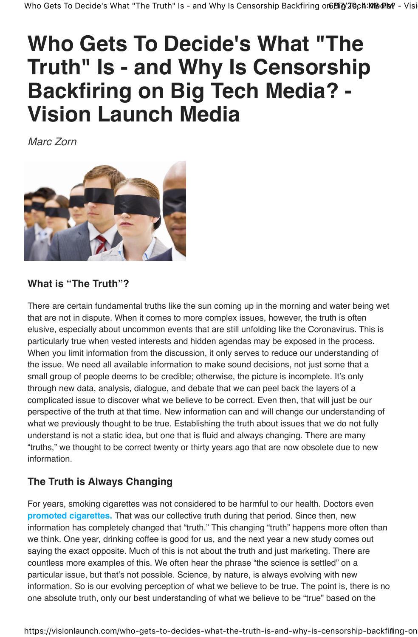# **Who Gets To Decide's What "The Truth" Is - and Why Is Censorship Backfiring on Big Tech Media? - Vision Launch Media**

Marc Zorn



## **What is "The Truth"?**

There are certain fundamental truths like the sun coming up in the morning and water being wet that are not in dispute. When it comes to more complex issues, however, the truth is often elusive, especially about uncommon events that are still unfolding like the Coronavirus. This is particularly true when vested interests and hidden agendas may be exposed in the process. When you limit information from the discussion, it only serves to reduce our understanding of the issue. We need all available information to make sound decisions, not just some that a small group of people deems to be credible; otherwise, the picture is incomplete. It's only through new data, analysis, dialogue, and debate that we can peel back the layers of a complicated issue to discover what we believe to be correct. Even then, that will just be our perspective of the truth at that time. New information can and will change our understanding of what we previously thought to be true. Establishing the truth about issues that we do not fully understand is not a static idea, but one that is fluid and always changing. There are many "truths," we thought to be correct twenty or thirty years ago that are now obsolete due to new information.

## **The Truth is Always Changing**

For years, smoking cigarettes was not considered to be harmful to our health. Doctors even **promoted cigarettes.** That was our collective truth during that period. Since then, new information has completely changed that "truth." This changing "truth" happens more often than we think. One year, drinking coffee is good for us, and the next year a new study comes out saying the exact opposite. Much of this is not about the truth and just marketing. There are countless more examples of this. We often hear the phrase "the science is settled" on a particular issue, but that's not possible. Science, by nature, is always evolving with new information. So is our evolving perception of what we believe to be true. The point is, there is no one absolute truth, only our best understanding of what we believe to be "true" based on the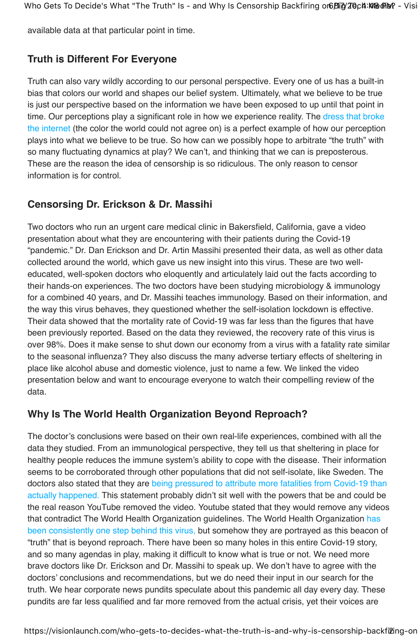Who Gets To Decide's What "The Truth" Is - and Why Is Censorship Backfiring or 6/817/20 pt: W& AM - Vision

available data at that particular point in time.

### **Truth is Different For Everyone**

Truth can also vary wildly according to our personal perspective. Every one of us has a built-in bias that colors our world and shapes our belief system. Ultimately, what we believe to be true is just our perspective based on the information we have been exposed to up until that point in time. Our perceptions play a significant role in how we experience reality. The dress that broke the internet (the color the world could not agree on) is a perfect example of how our perception plays into what we believe to be true. So how can we possibly hope to arbitrate "the truth" with so many fluctuating dynamics at play? We can't, and thinking that we can is preposterous. These are the reason the idea of censorship is so ridiculous. The only reason to censor information is for control.

#### **Censorsing Dr. Erickson & Dr. Massihi**

Two doctors who run an urgent care medical clinic in Bakersfield, California, gave a video presentation about what they are encountering with their patients during the Covid-19 "pandemic." Dr. Dan Erickson and Dr. Artin Massihi presented their data, as well as other data collected around the world, which gave us new insight into this virus. These are two welleducated, well-spoken doctors who eloquently and articulately laid out the facts according to their hands-on experiences. The two doctors have been studying microbiology & immunology for a combined 40 years, and Dr. Massihi teaches immunology. Based on their information, and the way this virus behaves, they questioned whether the self-isolation lockdown is effective. Their data showed that the mortality rate of Covid-19 was far less than the figures that have been previously reported. Based on the data they reviewed, the recovery rate of this virus is over 98%. Does it make sense to shut down our economy from a virus with a fatality rate similar to the seasonal influenza? They also discuss the many adverse tertiary effects of sheltering in place like alcohol abuse and domestic violence, just to name a few. We linked the video presentation below and want to encourage everyone to watch their compelling review of the data.

### **Why Is The World Health Organization Beyond Reproach?**

The doctor's conclusions were based on their own real-life experiences, combined with all the data they studied. From an immunological perspective, they tell us that sheltering in place for healthy people reduces the immune system's ability to cope with the disease. Their information seems to be corroborated through other populations that did not self-isolate, like Sweden. The doctors also stated that they are being pressured to attribute more fatalities from Covid-19 than actually happened. This statement probably didn't sit well with the powers that be and could be the real reason YouTube removed the video. Youtube stated that they would remove any videos that contradict The World Health Organization guidelines. The World Health Organization has been consistently one step behind this virus, but somehow they are portrayed as this beacon of "truth" that is beyond reproach. There have been so many holes in this entire Covid-19 story, and so many agendas in play, making it difficult to know what is true or not. We need more brave doctors like Dr. Erickson and Dr. Massihi to speak up. We don't have to agree with the doctors' conclusions and recommendations, but we do need their input in our search for the truth. We hear corporate news pundits speculate about this pandemic all day every day. These pundits are far less qualified and far more removed from the actual crisis, yet their voices are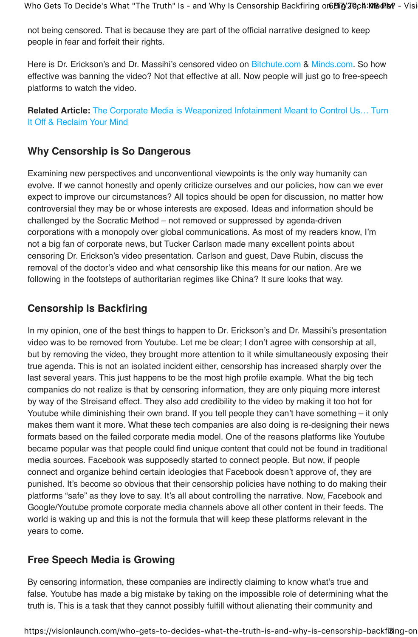Who Gets To Decide's What "The Truth" Is - and Why Is Censorship Backfiring or 6/817/20 pt: W& AM - Vision

not being censored. That is because they are part of the official narrative designed to keep people in fear and forfeit their rights.

Here is Dr. Erickson's and Dr. Massihi's censored video on Bitchute.com & Minds.com. So how effective was banning the video? Not that effective at all. Now people will just go to free-speech platforms to watch the video.

**Related Article:** The Corporate Media is Weaponized Infotainment Meant to Control Us… Turn It Off & Reclaim Your Mind

#### **Why Censorship is So Dangerous**

Examining new perspectives and unconventional viewpoints is the only way humanity can evolve. If we cannot honestly and openly criticize ourselves and our policies, how can we ever expect to improve our circumstances? All topics should be open for discussion, no matter how controversial they may be or whose interests are exposed. Ideas and information should be challenged by the Socratic Method – not removed or suppressed by agenda-driven corporations with a monopoly over global communications. As most of my readers know, I'm not a big fan of corporate news, but Tucker Carlson made many excellent points about censoring Dr. Erickson's video presentation. Carlson and guest, Dave Rubin, discuss the removal of the doctor's video and what censorship like this means for our nation. Are we following in the footsteps of authoritarian regimes like China? It sure looks that way.

### **Censorship Is Backfiring**

In my opinion, one of the best things to happen to Dr. Erickson's and Dr. Massihi's presentation video was to be removed from Youtube. Let me be clear; I don't agree with censorship at all, but by removing the video, they brought more attention to it while simultaneously exposing their true agenda. This is not an isolated incident either, censorship has increased sharply over the last several years. This just happens to be the most high profile example. What the big tech companies do not realize is that by censoring information, they are only piquing more interest by way of the Streisand effect. They also add credibility to the video by making it too hot for Youtube while diminishing their own brand. If you tell people they can't have something – it only makes them want it more. What these tech companies are also doing is re-designing their news formats based on the failed corporate media model. One of the reasons platforms like Youtube became popular was that people could find unique content that could not be found in traditional media sources. Facebook was supposedly started to connect people. But now, if people connect and organize behind certain ideologies that Facebook doesn't approve of, they are punished. It's become so obvious that their censorship policies have nothing to do making their platforms "safe" as they love to say. It's all about controlling the narrative. Now, Facebook and Google/Youtube promote corporate media channels above all other content in their feeds. The world is waking up and this is not the formula that will keep these platforms relevant in the years to come.

### **Free Speech Media is Growing**

By censoring information, these companies are indirectly claiming to know what's true and false. Youtube has made a big mistake by taking on the impossible role of determining what the truth is. This is a task that they cannot possibly fulfill without alienating their community and

https://visionlaunch.com/who-gets-to-decides-what-the-truth-is-and-why-is-censorship-backfiog-on-